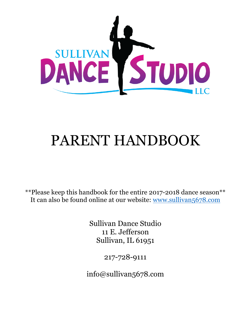

# PARENT HANDBOOK

\*\*Please keep this handbook for the entire 2017-2018 dance season\*\* It can also be found online at our website: www.sullivan5678.com

> Sullivan Dance Studio 11 E. Jefferson Sullivan, IL 61951

> > 217-728-9111

info@sullivan5678.com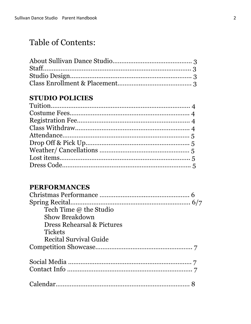# Table of Contents:

### **STUDIO POLICIES**

### **PERFORMANCES**

| Tech Time @ the Studio                |
|---------------------------------------|
| <b>Show Breakdown</b>                 |
| <b>Dress Rehearsal &amp; Pictures</b> |
| <b>Tickets</b>                        |
| <b>Recital Survival Guide</b>         |
|                                       |
|                                       |
|                                       |
|                                       |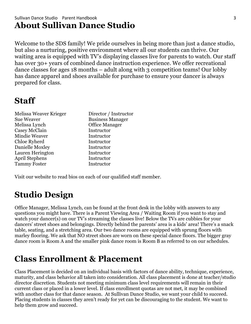### Sullivan Dance Studio Parent Handbook 3 **About Sullivan Dance Studio**

Welcome to the SDS family! We pride ourselves in being more than just a dance studio, but also a nurturing, positive environment where all our students can thrive. Our waiting area is equipped with TV's displaying classes live for parents to watch. Our staff has over 30+ years of combined dance instruction experience. We offer recreational dance classes for ages 18 months – adult along with 3 competition teams! Our lobby has dance apparel and shoes available for purchase to ensure your dancer is always prepared for class.

# **Staff**

| Melissa Weaver Krieger | Director / Instructor   |
|------------------------|-------------------------|
| <b>Sue Weaver</b>      | <b>Business Manager</b> |
| Melissa Lynch          | <b>Office Manager</b>   |
| Casey McClain          | Instructor              |
| <b>Mindie Weaver</b>   | Instructor              |
| Chloe Ryherd           | Instructor              |
| Danielle Moxley        | Instructor              |
| Lauren Herington       | Instructor              |
| April Stephens         | Instructor              |
| <b>Tammy Foster</b>    | Instructor              |

Visit our website to read bios on each of our qualified staff member.

# **Studio Design**

Office Manager, Melissa Lynch, can be found at the front desk in the lobby with answers to any questions you might have. There is a Parent Viewing Area / Waiting Room if you want to stay and watch your dancer(s) on our TV's streaming the classes live! Below the TVs are cubbies for your dancers' street shoes and belongings. Directly behind the parents' area is a kids' area! There's a snack table, seating, and a stretching area. Our two dance rooms are equipped with sprung floors with marley flooring. We ask that NO street shoes are worn on these special dance floors. The bigger gray dance room is Room A and the smaller pink dance room is Room B as referred to on our schedules.

# **Class Enrollment & Placement**

Class Placement is decided on an individual basis with factors of dance ability, technique, experience, maturity, and class behavior all taken into consideration. All class placement is done at teacher/studio director discretion. Students not meeting minimum class level requirements will remain in their current class or placed in a lower level. If class enrollment quotas are not met, it may be combined with another class for that dance season. At Sullivan Dance Studio, we want your child to succeed. Placing students in classes they aren't ready for yet can be discouraging to the student. We want to help them grow and succeed.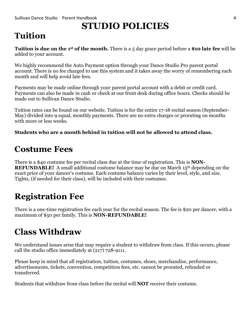# **STUDIO POLICIES**

# **Tuition**

**Tuition is due on the 1st of the month.** There is a 5 day grace period before a **\$10 late fee** will be added to your account.

We highly recommend the Auto Payment option through your Dance Studio Pro parent portal account. There is no fee charged to use this system and it takes away the worry of remembering each month and will help avoid late fees.

Payments may be made online through your parent portal account with a debit or credit card. Payments can also be made in cash or check at our front desk during office hours. Checks should be made out to Sullivan Dance Studio.

Tuition rates can be found on our website. Tuition is for the entire 17-18 recital season (September-May) divided into 9 equal, monthly payments. There are no extra charges or prorating on months with more or less weeks.

#### **Students who are a month behind in tuition will not be allowed to attend class.**

### **Costume Fees**

There is a \$40 costume fee per recital class due at the time of registration. This is **NON-REFUNDABLE!** A small additional costume balance may be due on March 15<sup>th</sup> depending on the exact price of your dancer's costume. Each costume balance varies by their level, style, and size. Tights, (if needed for their class), will be included with their costumes.

# **Registration Fee**

There is a one-time registration fee each year for the recital season. The fee is \$20 per dancer, with a maximum of \$50 per family. This is **NON-REFUNDABLE!**

# **Class Withdraw**

We understand issues arise that may require a student to withdraw from class. If this occurs, please call the studio office immediately at (217) 728-9111.

Please keep in mind that all registration, tuition, costumes, shoes, merchandise, performance, advertisements, tickets, convention, competition fees, etc. cannot be prorated, refunded or transferred.

Students that withdraw from class before the recital will **NOT** receive their costume.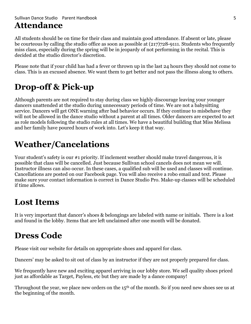#### Sullivan Dance Studio Narent Handbook 5 and 5 and 5 and 5 and 5 and 5 and 5 and 5 and 5 and 5 and 5 and 5 and 5 and 5 and 5 and 5 and 5 and 5 and 5 and 5 and 5 and 5 and 5 and 5 and 5 and 5 and 5 and 5 and 5 and 5 and 5 an **Attendance**

All students should be on time for their class and maintain good attendance. If absent or late, please be courteous by calling the studio office as soon as possible at (217)728-9111. Students who frequently miss class, especially during the spring will be in jeopardy of not performing in the recital. This is decided at the studio director's discretion.

Please note that if your child has had a fever or thrown up in the last 24 hours they should not come to class. This is an excused absence. We want them to get better and not pass the illness along to others.

# **Drop-off & Pick-up**

Although parents are not required to stay during class we highly discourage leaving your younger dancers unattended at the studio during unnecessary periods of time. We are not a babysitting service. Dancers will get ONE warning after bad behavior occurs. If they continue to misbehave they will not be allowed in the dance studio without a parent at all times. Older dancers are expected to act as role models following the studio rules at all times. We have a beautiful building that Miss Melissa and her family have poured hours of work into. Let's keep it that way.

# **Weather/Cancelations**

Your student's safety is our #1 priority. If inclement weather should make travel dangerous, it is possible that class will be cancelled. Just because Sullivan school cancels does not mean we will. Instructor illness can also occur. In these cases, a qualified sub will be used and classes will continue. Cancellations are posted on our Facebook page. You will also receive a robo email and text. Please make sure your contact information is correct in Dance Studio Pro. Make-up classes will be scheduled if time allows.

### **Lost Items**

It is very important that dancer's shoes & belongings are labeled with name or initials. There is a lost and found in the lobby. Items that are left unclaimed after one month will be donated.

# **Dress Code**

Please visit our website for details on appropriate shoes and apparel for class.

Dancers' may be asked to sit out of class by an instructor if they are not properly prepared for class.

We frequently have new and exciting apparel arriving in our lobby store. We sell quality shoes priced just as affordable as Target, Payless, etc but they are made by a dance company!

Throughout the year, we place new orders on the 15<sup>th</sup> of the month. So if you need new shoes see us at the beginning of the month.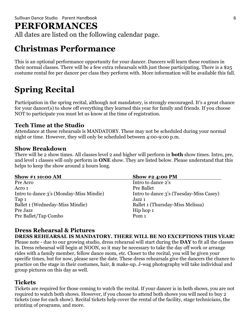### **PERFORMANCES**

All dates are listed on the following calendar page.

# **Christmas Performance**

This is an optional performance opportunity for your dancer. Dancers will learn these routines in their normal classes. There will be a few extra rehearsals with just those participating. There is a \$25 costume rental fee per dancer per class they perform with. More information will be available this fall.

# **Spring Recital**

Participation in the spring recital, although not mandatory, is strongly encouraged. It's a great chance for your dancer(s) to show off everything they learned this year for family and friends. If you choose NOT to participate you must let us know at the time of registration.

### **Tech Time at the Studio**

Attendance at these rehearsals is MANDATORY. These may not be scheduled during your normal night or time. However, they will only be scheduled between 4:00-9:00 p.m.

#### **Show Breakdown**

There will be 2 show times. All classes level 2 and higher will perform in **both** show times. Intro, pre, and level 1 classes will only perform in **ONE** show. They are listed below. Please understand that this helps to keep the show around 2 hours long.

| <b>Show #1 10:00 AM</b>                 | Show #2 4:00 PM                         |
|-----------------------------------------|-----------------------------------------|
| Pre Acro                                | Intro to dance 2's                      |
| Acro 1                                  | Pre Ballet                              |
| Intro to dance 3's (Monday-Miss Mindie) | Intro to dance 3's (Tuesday-Miss Casey) |
| Tap 1                                   | Jazz 1                                  |
| Ballet 1 (Wedneday-Miss Mindie)         | Ballet 1 (Thursday-Miss Melissa)        |
| Pre Jazz                                | Hip hop 1                               |
| Pre Ballet/Tap Combo                    | Pom <sub>1</sub>                        |

### **Dress Rehearsal & Pictures**

**DRESS REHEARSAL IS MANDATORY. THERE WILL BE NO EXCEPTIONS THIS YEAR!** Please note - due to our growing studio, dress rehearsal will start during the **DAY** to fit all the classes in. Dress rehearsal will begin at NOON, so it may be necessary to take the day off work or arrange rides with a family member, fellow dance mom, etc. Closer to the recital, you will be given your specific times, but for now, please save the date. These dress rehearsals give the dancers the chance to practice on the stage in their costumes, hair, & make-up. J-wag photography will take individual and group pictures on this day as well.

### **Tickets**

Tickets are required for those coming to watch the recital. If your dancer is in both shows, you are not required to watch both shows. However, if you choose to attend both shows you will need to buy 2 tickets (one for each show). Recital tickets help cover the rental of the facility, stage technicians, the printing of programs, and more.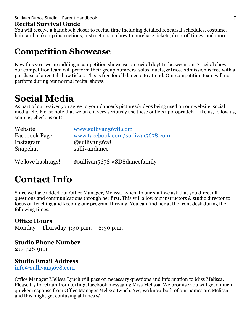#### Sullivan Dance Studio NParent Handbook 7 (2008) 2012 12:30 12:30 12:30 12:30 12:30 12:30 12:30 12:30 12:30 12:30 12:30 12:30 12:30 12:30 12:30 12:30 12:30 12:30 12:30 12:30 12:30 12:30 12:30 12:30 12:30 12:30 12:30 12:30 1

#### **Recital Survival Guide**

You will receive a handbook closer to recital time including detailed rehearsal schedules, costume, hair, and make-up instructions, instructions on how to purchase tickets, drop-off times, and more.

### **Competition Showcase**

New this year we are adding a competition showcase on recital day! In-between our 2 recital shows our competition team will perform their group numbers, solos, duets, & trios. Admission is free with a purchase of a recital show ticket. This is free for all dancers to attend. Our competition team will not perform during our normal recital shows.

# **Social Media**

As part of our waiver you agree to your dancer's pictures/videos being used on our website, social media, etc. Please note that we take it very seriously use these outlets appropriately. Like us, follow us, snap us, check us out!!

| Website              | www.sullivan5678.com              |
|----------------------|-----------------------------------|
| <b>Facebook Page</b> | www.facebook.com/sullivan5678.com |
| Instagram            | $\omega$ sullivan <sub>5678</sub> |
| Snapchat             | sullivandance                     |
|                      |                                   |

We love hashtags!  $\#$  sullivan 5678 #SDS dance family

# **Contact Info**

Since we have added our Office Manager, Melissa Lynch, to our staff we ask that you direct all questions and communications through her first. This will allow our instructors & studio director to focus on teaching and keeping our program thriving. You can find her at the front desk during the following times:

### **Office Hours**

Monday – Thursday 4:30 p.m. – 8:30 p.m.

### **Studio Phone Number**

217-728-9111

### **Studio Email Address**

info@sullivan5678.com

Office Manager Melissa Lynch will pass on necessary questions and information to Miss Melissa. Please try to refrain from texting, facebook messaging Miss Melissa. We promise you will get a much quicker response from Office Manager Melissa Lynch. Yes, we know both of our names are Melissa and this might get confusing at times  $\odot$